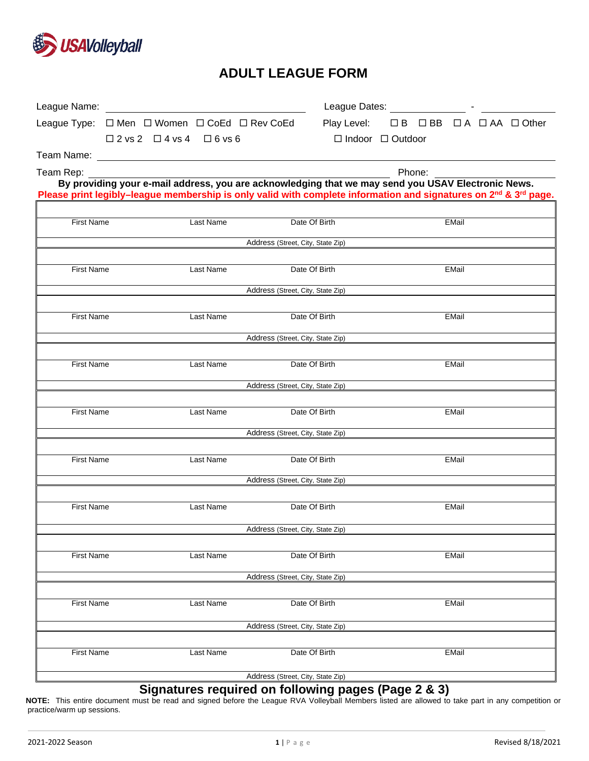

# **ADULT LEAGUE FORM**

|                                   | League Type: □ Men □ Women □ CoEd □ Rev CoEd                                                                                             |           |                                   | Play Level: □B □BB □A □AA □ Other |  |  |       |  |  |
|-----------------------------------|------------------------------------------------------------------------------------------------------------------------------------------|-----------|-----------------------------------|-----------------------------------|--|--|-------|--|--|
|                                   | $\square$ 2 vs 2 $\square$ 4 vs 4 $\square$ 6 vs 6                                                                                       |           |                                   | $\Box$ Indoor $\Box$ Outdoor      |  |  |       |  |  |
|                                   |                                                                                                                                          |           |                                   |                                   |  |  |       |  |  |
| Team Rep:                         | Phone:<br>By providing your e-mail address, you are acknowledging that we may send you USAV Electronic News.                             |           |                                   |                                   |  |  |       |  |  |
|                                   | Please print legibly-league membership is only valid with complete information and signatures on 2 <sup>nd</sup> & 3 <sup>rd</sup> page. |           |                                   |                                   |  |  |       |  |  |
|                                   |                                                                                                                                          |           |                                   |                                   |  |  |       |  |  |
| <b>First Name</b>                 |                                                                                                                                          | Last Name |                                   | Date Of Birth                     |  |  | EMail |  |  |
| Address (Street, City, State Zip) |                                                                                                                                          |           |                                   |                                   |  |  |       |  |  |
|                                   |                                                                                                                                          |           |                                   |                                   |  |  |       |  |  |
| <b>First Name</b>                 |                                                                                                                                          | Last Name |                                   | Date Of Birth                     |  |  | EMail |  |  |
|                                   |                                                                                                                                          |           | Address (Street, City, State Zip) |                                   |  |  |       |  |  |
|                                   |                                                                                                                                          |           |                                   |                                   |  |  |       |  |  |
| <b>First Name</b>                 |                                                                                                                                          | Last Name |                                   | Date Of Birth                     |  |  | EMail |  |  |
|                                   |                                                                                                                                          |           | Address (Street, City, State Zip) |                                   |  |  |       |  |  |
| <b>First Name</b>                 |                                                                                                                                          | Last Name |                                   | Date Of Birth                     |  |  | EMail |  |  |
|                                   |                                                                                                                                          |           |                                   |                                   |  |  |       |  |  |
|                                   |                                                                                                                                          |           | Address (Street, City, State Zip) |                                   |  |  |       |  |  |
| <b>First Name</b>                 |                                                                                                                                          | Last Name |                                   | Date Of Birth                     |  |  | EMail |  |  |
|                                   |                                                                                                                                          |           | Address (Street, City, State Zip) |                                   |  |  |       |  |  |
|                                   |                                                                                                                                          |           |                                   |                                   |  |  |       |  |  |
| <b>First Name</b>                 |                                                                                                                                          | Last Name |                                   | Date Of Birth                     |  |  | EMail |  |  |
|                                   |                                                                                                                                          |           | Address (Street, City, State Zip) |                                   |  |  |       |  |  |
|                                   |                                                                                                                                          |           |                                   |                                   |  |  |       |  |  |
| <b>First Name</b>                 |                                                                                                                                          | Last Name |                                   | Date Of Birth                     |  |  | EMail |  |  |
|                                   |                                                                                                                                          |           | Address (Street, City, State Zip) |                                   |  |  |       |  |  |
|                                   |                                                                                                                                          |           |                                   |                                   |  |  |       |  |  |
| <b>First Name</b>                 |                                                                                                                                          | Last Name |                                   | Date Of Birth                     |  |  | EMail |  |  |
|                                   |                                                                                                                                          |           | Address (Street, City, State Zip) |                                   |  |  |       |  |  |
|                                   |                                                                                                                                          |           |                                   |                                   |  |  |       |  |  |
| <b>First Name</b>                 |                                                                                                                                          | Last Name |                                   | Date Of Birth                     |  |  | EMail |  |  |
|                                   |                                                                                                                                          |           | Address (Street, City, State Zip) |                                   |  |  |       |  |  |
|                                   |                                                                                                                                          |           |                                   |                                   |  |  |       |  |  |
| <b>First Name</b>                 |                                                                                                                                          | Last Name |                                   | Date Of Birth                     |  |  | EMail |  |  |
|                                   |                                                                                                                                          |           | Address (Street, City, State Zip) |                                   |  |  |       |  |  |

## **Signatures required on following pages (Page 2 & 3)**

**NOTE:** This entire document must be read and signed before the League RVA Volleyball Members listed are allowed to take part in any competition or practice/warm up sessions.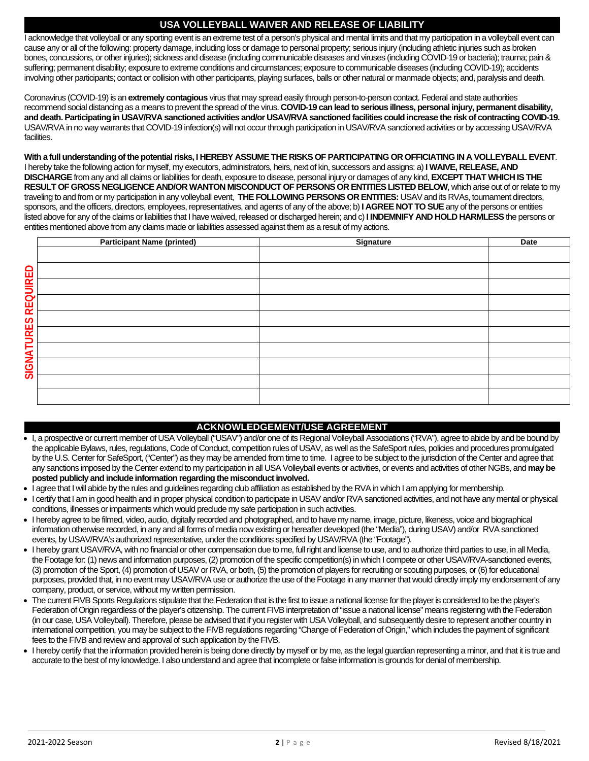#### **USA VOLLEYBALL WAIVER AND RELEASE OF LIABILITY**

I acknowledge that volleyball or any sporting event is an extreme test of a person's physical and mental limits and that my participation in a volleyball event can cause any or all of the following: property damage, including loss or damage to personal property; serious injury (including athletic injuries such as broken bones, concussions, or other injuries); sickness and disease (including communicable diseases and viruses (including COVID-19 or bacteria); trauma; pain & suffering; permanent disability; exposure to extreme conditions and circumstances; exposure to communicable diseases (including COVID-19); accidents involving other participants; contact or collision with other participants, playing surfaces, balls or other natural or manmade objects; and, paralysis and death.

Coronavirus (COVID-19) is an **extremely contagious** virus that may spread easily through person-to-person contact. Federal and state authorities recommend social distancing as a means to prevent the spread of the virus. **COVID-19 can lead to serious illness, personal injury, permanent disability, and death. Participating in USAV/RVA sanctioned activities and/or USAV/RVA sanctioned facilities could increase the risk of contracting COVID-19.**  USAV/RVA in no way warrants that COVID-19 infection(s) will not occur through participation in USAV/RVA sanctioned activities or by accessing USAV/RVA facilities.

**With a full understanding of the potential risks, I HEREBY ASSUME THE RISKS OF PARTICIPATING OR OFFICIATING IN A VOLLEYBALL EVENT**. I hereby take the following action for myself, my executors, administrators, heirs, next of kin, successors and assigns: a) **I WAIVE, RELEASE, AND DISCHARGE**from any and all claims or liabilities for death, exposure to disease, personal injury or damages of any kind, **EXCEPT THAT WHICH IS THE RESULT OF GROSS NEGLIGENCE AND/OR WANTON MISCONDUCT OF PERSONS OR ENTITIES LISTED BELOW**, which arise out of or relate to my traveling to and from or my participation in any volleyball event, **THE FOLLOWING PERSONS OR ENTITIES:** USAVand its RVAs, tournament directors, sponsors, and the officers, directors, employees, representatives, and agents of any of the above; b) **I AGREE NOT TO SUE**any of the persons or entities listed above for any of the claims or liabilities that I have waived, released or discharged herein; and c)**I INDEMNIFY AND HOLD HARMLESS**the persons or entities mentioned above from any claims made or liabilities assessed against them as a result of my actions.

|                     | <b>Participant Name (printed)</b>                                                                                                                               | <b>Signature</b>                                                                                                                                                     | <b>Date</b> |  |  |  |
|---------------------|-----------------------------------------------------------------------------------------------------------------------------------------------------------------|----------------------------------------------------------------------------------------------------------------------------------------------------------------------|-------------|--|--|--|
|                     |                                                                                                                                                                 |                                                                                                                                                                      |             |  |  |  |
|                     |                                                                                                                                                                 |                                                                                                                                                                      |             |  |  |  |
|                     |                                                                                                                                                                 |                                                                                                                                                                      |             |  |  |  |
|                     |                                                                                                                                                                 |                                                                                                                                                                      |             |  |  |  |
|                     |                                                                                                                                                                 |                                                                                                                                                                      |             |  |  |  |
|                     |                                                                                                                                                                 |                                                                                                                                                                      |             |  |  |  |
|                     |                                                                                                                                                                 |                                                                                                                                                                      |             |  |  |  |
|                     |                                                                                                                                                                 |                                                                                                                                                                      |             |  |  |  |
| SIGNATURES REQUIRED |                                                                                                                                                                 |                                                                                                                                                                      |             |  |  |  |
|                     |                                                                                                                                                                 |                                                                                                                                                                      |             |  |  |  |
|                     |                                                                                                                                                                 |                                                                                                                                                                      |             |  |  |  |
|                     |                                                                                                                                                                 |                                                                                                                                                                      |             |  |  |  |
|                     |                                                                                                                                                                 |                                                                                                                                                                      |             |  |  |  |
|                     |                                                                                                                                                                 |                                                                                                                                                                      |             |  |  |  |
|                     |                                                                                                                                                                 |                                                                                                                                                                      |             |  |  |  |
|                     |                                                                                                                                                                 |                                                                                                                                                                      |             |  |  |  |
|                     |                                                                                                                                                                 |                                                                                                                                                                      |             |  |  |  |
|                     |                                                                                                                                                                 | <b>ACKNOWLEDGEMENT/USE AGREEMENT</b>                                                                                                                                 |             |  |  |  |
|                     |                                                                                                                                                                 | I, a prospective or current member of USA Volleyball ("USAV") and/or one of its Regional Volleyball Associations ("RVA"), agree to abide by and be bound by          |             |  |  |  |
|                     |                                                                                                                                                                 | the applicable Bylaws, rules, regulations, Code of Conduct, competition rules of USAV, as well as the SafeSport rules, policies and procedures promulgated           |             |  |  |  |
|                     |                                                                                                                                                                 | by the U.S. Center for SafeSport, ("Center") as they may be amended from time to time. I agree to be subject to the jurisdiction of the Center and agree that        |             |  |  |  |
|                     |                                                                                                                                                                 | any sanctions imposed by the Center extend to my participation in all USA Volleyball events or activities, or events and activities of other NGBs, and may be        |             |  |  |  |
|                     | posted publicly and include information regarding the misconduct involved.                                                                                      |                                                                                                                                                                      |             |  |  |  |
|                     |                                                                                                                                                                 | I agree that I will abide by the rules and guidelines regarding club affiliation as established by the RVA in which I am applying for membership.                    |             |  |  |  |
|                     |                                                                                                                                                                 | I certify that I am in good health and in proper physical condition to participate in USAV and/or RVA sanctioned activities, and not have any mental or physical     |             |  |  |  |
|                     | conditions, illnesses or impairments which would preclude my safe participation in such activities.                                                             |                                                                                                                                                                      |             |  |  |  |
|                     | I hereby agree to be filmed, video, audio, digitally recorded and photographed, and to have my name, image, picture, likeness, voice and biographical           |                                                                                                                                                                      |             |  |  |  |
|                     | information otherwise recorded, in any and all forms of media now existing or hereafter developed (the "Media"), during USAV) and/or RVA sanctioned             |                                                                                                                                                                      |             |  |  |  |
|                     | events, by USAV/RVA's authorized representative, under the conditions specified by USAV/RVA (the "Footage").                                                    |                                                                                                                                                                      |             |  |  |  |
|                     | I hereby grant USAV/RVA, with no financial or other compensation due to me, full right and license to use, and to authorize third parties to use, in all Media, |                                                                                                                                                                      |             |  |  |  |
|                     | the Footage for: (1) news and information purposes, (2) promotion of the specific competition(s) in which I compete or other USAV/RVA-sanctioned events,        |                                                                                                                                                                      |             |  |  |  |
|                     |                                                                                                                                                                 | (3) promotion of the Sport, (4) promotion of USAV or RVA, or both, (5) the promotion of players for recruiting or scouting purposes, or (6) for educational          |             |  |  |  |
|                     |                                                                                                                                                                 | purposes, provided that, in no event may USAV/RVA use or authorize the use of the Footage in any manner that would directly imply my endorsement of any              |             |  |  |  |
|                     | company, product, or service, without my written permission.                                                                                                    |                                                                                                                                                                      |             |  |  |  |
|                     |                                                                                                                                                                 | The current FIVB Sports Regulations stipulate that the Federation that is the first to issue a national license for the player is considered to be the player's      |             |  |  |  |
|                     |                                                                                                                                                                 | Federation of Origin regardless of the player's citizenship. The current FIVB interpretation of "issue a national license" means registering with the Federation     |             |  |  |  |
|                     |                                                                                                                                                                 | (in our case, USA Volleyball). Therefore, please be advised that if you register with USA Volleyball, and subsequently desire to represent another country in        |             |  |  |  |
|                     |                                                                                                                                                                 | international competition, you may be subject to the FIVB regulations regarding "Change of Federation of Origin," which includes the payment of significant          |             |  |  |  |
|                     | fees to the FIVB and review and approval of such application by the FIVB.                                                                                       |                                                                                                                                                                      |             |  |  |  |
|                     |                                                                                                                                                                 |                                                                                                                                                                      |             |  |  |  |
|                     |                                                                                                                                                                 | I hereby certify that the information provided herein is being done directly by myself or by me, as the legal guardian representing a minor, and that it is true and |             |  |  |  |
|                     |                                                                                                                                                                 | accurate to the best of my knowledge. I also understand and agree that incomplete or false information is grounds for denial of membership.                          |             |  |  |  |

#### **ACKNOWLEDGEMENT/USE AGREEMENT**

- I, a prospective or current member of USA Volleyball ("USAV") and/or one of its Regional Volleyball Associations ("RVA"), agree to abide by and be bound by the applicable Bylaws, rules, regulations, Code of Conduct, competition rules of USAV, as well as the SafeSport rules, policies and procedures promulgated by the U.S. Center for SafeSport, ("Center") as they may be amended from time to time. I agree to be subject to the jurisdiction of the Center and agree that any sanctions imposed by the Center extend to my participation in all USA Volleyball events or activities, or events and activities of other NGBs, and **may be posted publicly and include information regarding the misconduct involved.**
- I agree that I will abide by the rules and guidelines regarding club affiliation as established by the RVA in which I am applying for membership.
- I certify that I am in good health and in proper physical condition to participate in USAV and/or RVA sanctioned activities, and not have any mental or physical conditions, illnesses or impairments which would preclude my safe participation in such activities.
- I hereby agree to be filmed, video, audio, digitally recorded and photographed, and to have my name, image, picture, likeness, voice and biographical information otherwise recorded, in any and all forms of media now existing or hereafter developed (the "Media"), during USAV) and/or RVA sanctioned events, by USAV/RVA's authorized representative, under the conditions specified by USAV/RVA (the "Footage").
- I hereby grant USAV/RVA, with no financial or other compensation due to me, full right and license to use, and to authorize third parties to use, in all Media, the Footage for: (1) news and information purposes, (2) promotion of the specific competition(s) in which I compete or other USAV/RVA-sanctioned events, (3) promotion of the Sport, (4) promotion of USAV or RVA, or both, (5) the promotion of players for recruiting or scouting purposes, or (6) for educational purposes, provided that, in no event may USAV/RVA use or authorize the use of the Footage in any manner that would directly imply my endorsement of any company, product, or service, without my written permission.
- The current FIVB Sports Regulations stipulate that the Federation that is the first to issue a national license for the player is considered to be the player's Federation of Origin regardless of the player's citizenship. The current FIVB interpretation of "issue a national license" means registering with the Federation (in our case, USA Volleyball). Therefore, please be advised that if you register with USA Volleyball, and subsequently desire to represent another country in international competition, you may be subject to the FIVB regulations regarding "Change of Federation of Origin," which includes the payment of significant fees to the FIVB and review and approval of such application by the FIVB.
- I hereby certify that the information provided herein is being done directly by myself or by me, as the legal guardian representing a minor, and that it is true and<br>accurate to the best of my knowledge. I also understand